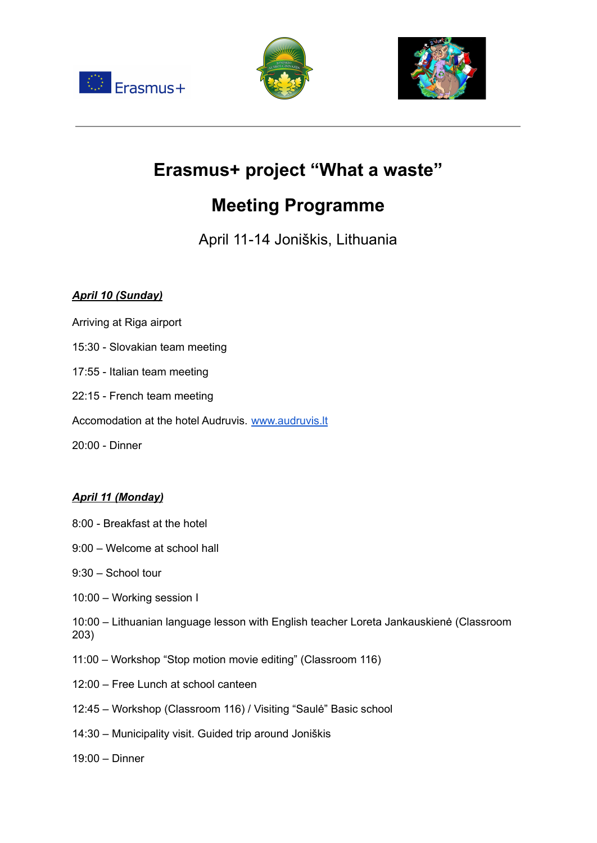





# **Erasmus+ project "What a waste"**

# **Meeting Programme**

April 11-14 Joniškis, Lithuania

## *April 10 (Sunday)*

- Arriving at Riga airport
- 15:30 Slovakian team meeting
- 17:55 Italian team meeting
- 22:15 French team meeting
- Accomodation at the hotel Audruvis. [www.audruvis.lt](https://audruvis.lt/en/home/)
- 20:00 Dinner

#### *April 11 (Monday)*

- 8:00 Breakfast at the hotel
- 9:00 Welcome at school hall
- 9:30 School tour
- 10:00 Working session I
- 10:00 Lithuanian language lesson with English teacher Loreta Jankauskienė (Classroom 203)
- 11:00 Workshop "Stop motion movie editing" (Classroom 116)
- 12:00 Free Lunch at school canteen
- 12:45 Workshop (Classroom 116) / Visiting "Saulė" Basic school
- 14:30 Municipality visit. Guided trip around Joniškis
- 19:00 Dinner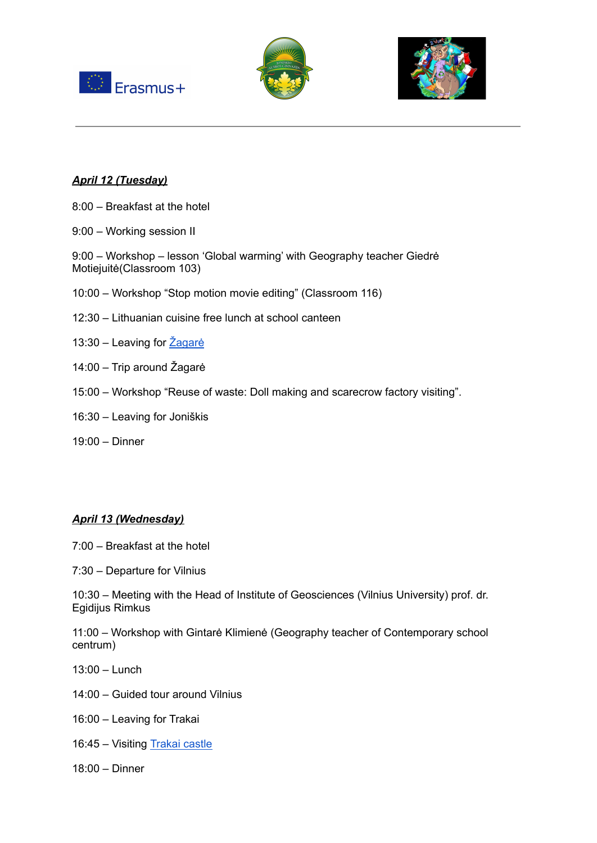





#### *April 12 (Tuesday)*

- 8:00 Breakfast at the hotel
- 9:00 Working session II

9:00 – Workshop – lesson 'Global warming' with Geography teacher Giedrė Motiejuitė(Classroom 103)

- 10:00 Workshop "Stop motion movie editing" (Classroom 116)
- 12:30 Lithuanian cuisine free lunch at school canteen
- 13:30 Leaving for Zagarė
- 14:00 Trip around Žagarė
- 15:00 Workshop "Reuse of waste: Doll making and scarecrow factory visiting".
- 16:30 Leaving for Joniškis
- 19:00 Dinner

#### *April 13 (Wednesday)*

- 7:00 Breakfast at the hotel
- 7:30 Departure for Vilnius

10:30 – Meeting with the Head of Institute of Geosciences (Vilnius University) prof. dr. Egidijus Rimkus

11:00 – Workshop with Gintarė Klimienė (Geography teacher of Contemporary school centrum)

- 13:00 Lunch
- 14:00 Guided tour around Vilnius
- 16:00 Leaving for Trakai
- 16:45 Visiting [Trakai](https://www.govilnius.lt/visit-vilnius/places/trakai-castle) castle
- 18:00 Dinner